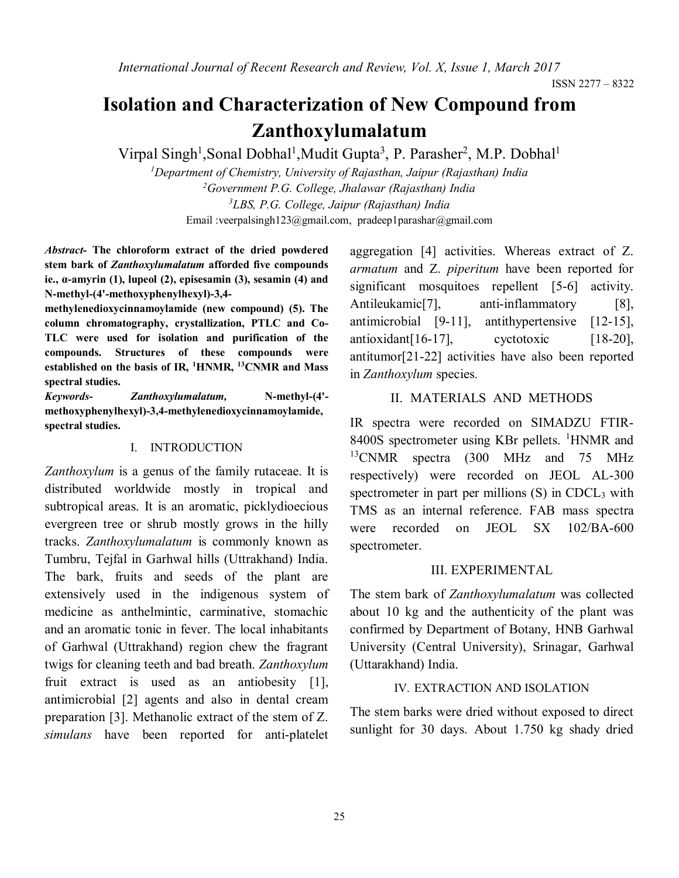# **Isolation and Characterization of New Compound from Zanthoxylumalatum**

Virpal Singh<sup>1</sup>, Sonal Dobhal<sup>1</sup>, Mudit Gupta<sup>3</sup>, P. Parasher<sup>2</sup>, M.P. Dobhal<sup>1</sup>

*Department of Chemistry, University of Rajasthan, Jaipur (Rajasthan) India Government P.G. College, Jhalawar (Rajasthan) India LBS, P.G. College, Jaipur (Rajasthan) India* Email [:veerpalsingh123@gmail.com,](mailto:veerpalsingh123@gmail.com) [pradeep1parashar@gmail.com](mailto:pradeep1parashar@gmail.com)

*Abstract-* **The chloroform extract of the dried powdered stem bark of** *Zanthoxylumalatum* **afforded five compounds ie., α-amyrin (1), lupeol (2), episesamin (3), sesamin (4) and N-methyl-(4'-methoxyphenylhexyl)-3,4-**

**methylenedioxycinnamoylamide (new compound) (5). The column chromatography, crystallization, PTLC and Co-TLC were used for isolation and purification of the compounds. Structures of these compounds were established on the basis of IR, <sup>1</sup>HNMR, <sup>13</sup>CNMR and Mass spectral studies.**

*Keywords***-** *Zanthoxylumalatum,* **N-methyl-(4' methoxyphenylhexyl)-3,4-methylenedioxycinnamoylamide, spectral studies.**

#### I. INTRODUCTION

*Zanthoxylum* is a genus of the family rutaceae. It is distributed worldwide mostly in tropical and subtropical areas. It is an aromatic, picklydioecious evergreen tree or shrub mostly grows in the hilly tracks. *Zanthoxylumalatum* is commonly known as Tumbru, Tejfal in Garhwal hills (Uttrakhand) India. The bark, fruits and seeds of the plant are extensively used in the indigenous system of medicine as anthelmintic, carminative, stomachic and an aromatic tonic in fever. The local inhabitants of Garhwal (Uttrakhand) region chew the fragrant twigs for cleaning teeth and bad breath. *Zanthoxylum* fruit extract is used as an antiobesity [1], antimicrobial [2] agents and also in dental cream preparation [3]. Methanolic extract of the stem of Z. *simulans* have been reported for anti-platelet

aggregation [4] activities. Whereas extract of Z. *armatum* and Z. *piperitum* have been reported for significant mosquitoes repellent [5-6] activity. Antileukamic<sup>[7]</sup>, anti-inflammatory [8], antimicrobial [9-11], antithypertensive [12-15], antioxidant[16-17], cyctotoxic [18-20], antitumor[21-22] activities have also been reported in *Zanthoxylum* species.

### II. MATERIALS AND METHODS

IR spectra were recorded on SIMADZU FTIR-8400S spectrometer using KBr pellets. <sup>1</sup>HNMR and <sup>13</sup>CNMR spectra (300 MHz and 75 MHz respectively) were recorded on JEOL AL-300 spectrometer in part per millions  $(S)$  in CDCL<sub>3</sub> with TMS as an internal reference. FAB mass spectra were recorded on JEOL SX 102/BA-600 spectrometer.

#### III. EXPERIMENTAL

The stem bark of *Zanthoxylumalatum* was collected about 10 kg and the authenticity of the plant was confirmed by Department of Botany, HNB Garhwal University (Central University), Srinagar, Garhwal (Uttarakhand) India.

#### IV. EXTRACTION AND ISOLATION

The stem barks were dried without exposed to direct sunlight for 30 days. About 1.750 kg shady dried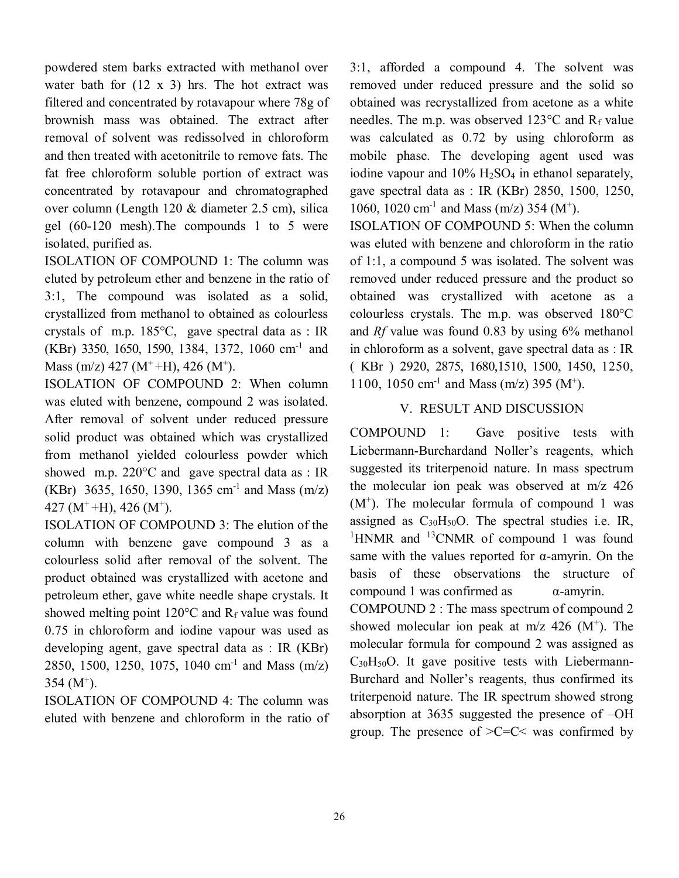powdered stem barks extracted with methanol over water bath for  $(12 \times 3)$  hrs. The hot extract was filtered and concentrated by rotavapour where 78g of brownish mass was obtained. The extract after removal of solvent was redissolved in chloroform and then treated with acetonitrile to remove fats. The fat free chloroform soluble portion of extract was concentrated by rotavapour and chromatographed over column (Length 120 & diameter 2.5 cm), silica gel (60-120 mesh).The compounds 1 to 5 were isolated, purified as.

ISOLATION OF COMPOUND 1: The column was eluted by petroleum ether and benzene in the ratio of 3:1, The compound was isolated as a solid, crystallized from methanol to obtained as colourless crystals of m.p. 185°C, gave spectral data as : IR (KBr) 3350, 1650, 1590, 1384, 1372, 1060 cm-1 and Mass (m/z) 427 (M<sup>+</sup> +H), 426 (M<sup>+</sup>).

ISOLATION OF COMPOUND 2: When column was eluted with benzene, compound 2 was isolated. After removal of solvent under reduced pressure solid product was obtained which was crystallized from methanol yielded colourless powder which showed m.p.  $220^{\circ}$ C and gave spectral data as : IR  $(KBr)$  3635, 1650, 1390, 1365 cm<sup>-1</sup> and Mass  $(m/z)$  $427 (M^+ + H), 426 (M^+).$ 

ISOLATION OF COMPOUND 3: The elution of the column with benzene gave compound 3 as a colourless solid after removal of the solvent. The product obtained was crystallized with acetone and petroleum ether, gave white needle shape crystals. It showed melting point  $120^{\circ}$ C and R<sub>f</sub> value was found 0.75 in chloroform and iodine vapour was used as developing agent, gave spectral data as : IR (KBr) 2850, 1500, 1250, 1075, 1040 cm-1 and Mass (m/z)  $354 \, (M^+).$ 

ISOLATION OF COMPOUND 4: The column was eluted with benzene and chloroform in the ratio of 3:1, afforded a compound 4. The solvent was removed under reduced pressure and the solid so obtained was recrystallized from acetone as a white needles. The m.p. was observed  $123^{\circ}$ C and R<sub>f</sub> value was calculated as 0.72 by using chloroform as mobile phase. The developing agent used was iodine vapour and  $10\%$  H<sub>2</sub>SO<sub>4</sub> in ethanol separately, gave spectral data as : IR (KBr) 2850, 1500, 1250, 1060, 1020 cm<sup>-1</sup> and Mass (m/z) 354 (M<sup>+</sup>).

ISOLATION OF COMPOUND 5: When the column was eluted with benzene and chloroform in the ratio of 1:1, a compound 5 was isolated. The solvent was removed under reduced pressure and the product so obtained was crystallized with acetone as a colourless crystals. The m.p. was observed 180°C and *Rf* value was found 0.83 by using 6% methanol in chloroform as a solvent, gave spectral data as : IR ( KBr ) 2920, 2875, 1680,1510, 1500, 1450, 1250, 1100, 1050 cm<sup>-1</sup> and Mass (m/z) 395 (M<sup>+</sup>).

# V. RESULT AND DISCUSSION

COMPOUND 1: Gave positive tests with Liebermann-Burchardand Noller's reagents, which suggested its triterpenoid nature. In mass spectrum the molecular ion peak was observed at m/z 426 (M<sup>+</sup> ). The molecular formula of compound 1 was assigned as  $C_{30}H_{50}O$ . The spectral studies i.e. IR, <sup>1</sup>HNMR and <sup>13</sup>CNMR of compound 1 was found same with the values reported for  $\alpha$ -amyrin. On the basis of these observations the structure of compound 1 was confirmed as  $α$ -amyrin.

COMPOUND 2 : The mass spectrum of compound 2 showed molecular ion peak at  $m/z$  426 (M<sup>+</sup>). The molecular formula for compound 2 was assigned as  $C_{30}H_{50}O$ . It gave positive tests with Liebermann-Burchard and Noller's reagents, thus confirmed its triterpenoid nature. The IR spectrum showed strong absorption at 3635 suggested the presence of –OH group. The presence of  $\geq C=C \leq$  was confirmed by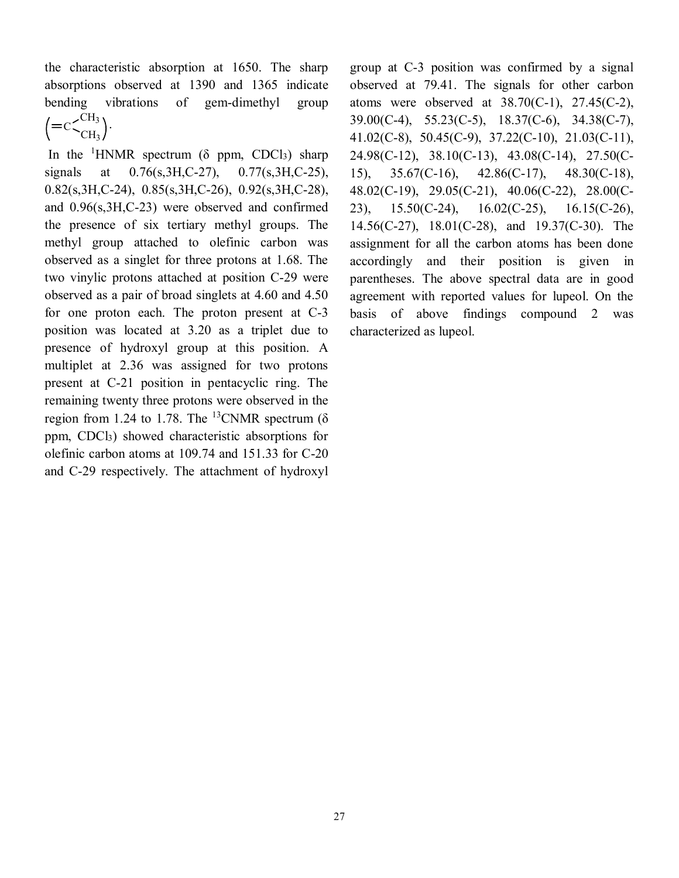the characteristic absorption at 1650. The sharp absorptions observed at 1390 and 1365 indicate bending vibrations of gem-dimethyl group  $C<sup>CH<sub>3</sub></sup>$ CH3 .

In the <sup>1</sup>HNMR spectrum ( $\delta$  ppm, CDCl<sub>3</sub>) sharp signals at 0.76(s, 3H, C-27), 0.77(s, 3H, C-25), 0.82(s,3H,C-24), 0.85(s,3H,C-26), 0.92(s,3H,C-28), and 0.96(s,3H,C-23) were observed and confirmed the presence of six tertiary methyl groups. The methyl group attached to olefinic carbon was observed as a singlet for three protons at 1.68. The two vinylic protons attached at position C-29 were observed as a pair of broad singlets at 4.60 and 4.50 for one proton each. The proton present at C-3 position was located at 3.20 as a triplet due to presence of hydroxyl group at this position. A multiplet at 2.36 was assigned for two protons present at C-21 position in pentacyclic ring. The remaining twenty three protons were observed in the region from 1.24 to 1.78. The <sup>13</sup>CNMR spectrum ( $\delta$ ) ppm, CDCl3) showed characteristic absorptions for olefinic carbon atoms at 109.74 and 151.33 for C-20 and C-29 respectively. The attachment of hydroxyl group at C-3 position was confirmed by a signal observed at 79.41. The signals for other carbon atoms were observed at  $38.70$ (C-1),  $27.45$ (C-2), 39.00(C-4), 55.23(C-5), 18.37(C-6), 34.38(C-7), 41.02(C-8), 50.45(C-9), 37.22(C-10), 21.03(C-11), 24.98(C-12), 38.10(C-13), 43.08(C-14), 27.50(C-15), 35.67(C-16), 42.86(C-17), 48.30(C-18), 48.02(C-19), 29.05(C-21), 40.06(C-22), 28.00(C-23), 15.50(C-24), 16.02(C-25), 16.15(C-26), 14.56(C-27), 18.01(C-28), and 19.37(C-30). The assignment for all the carbon atoms has been done accordingly and their position is given in parentheses. The above spectral data are in good agreement with reported values for lupeol. On the basis of above findings compound 2 was characterized as lupeol.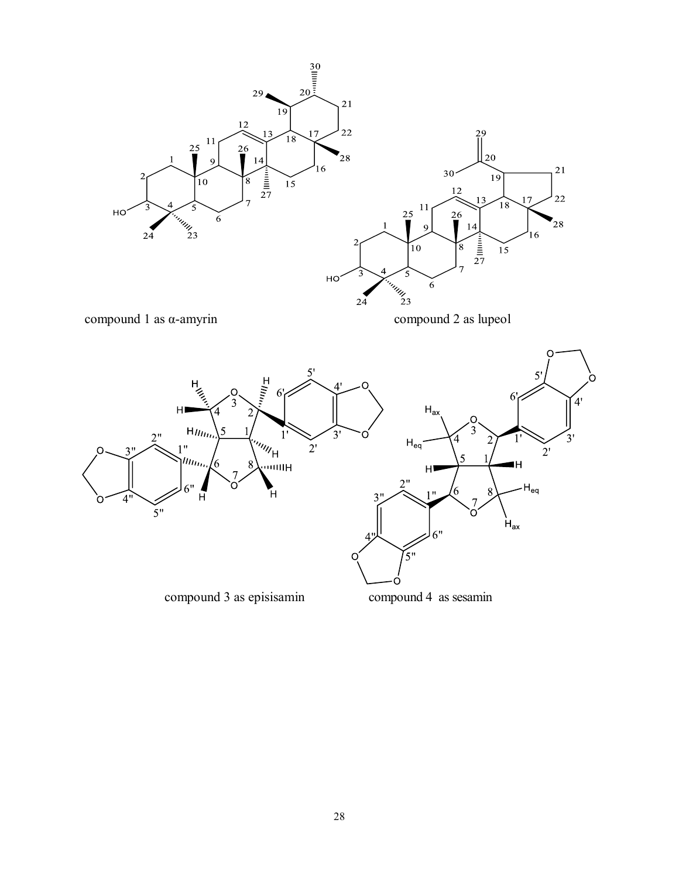



n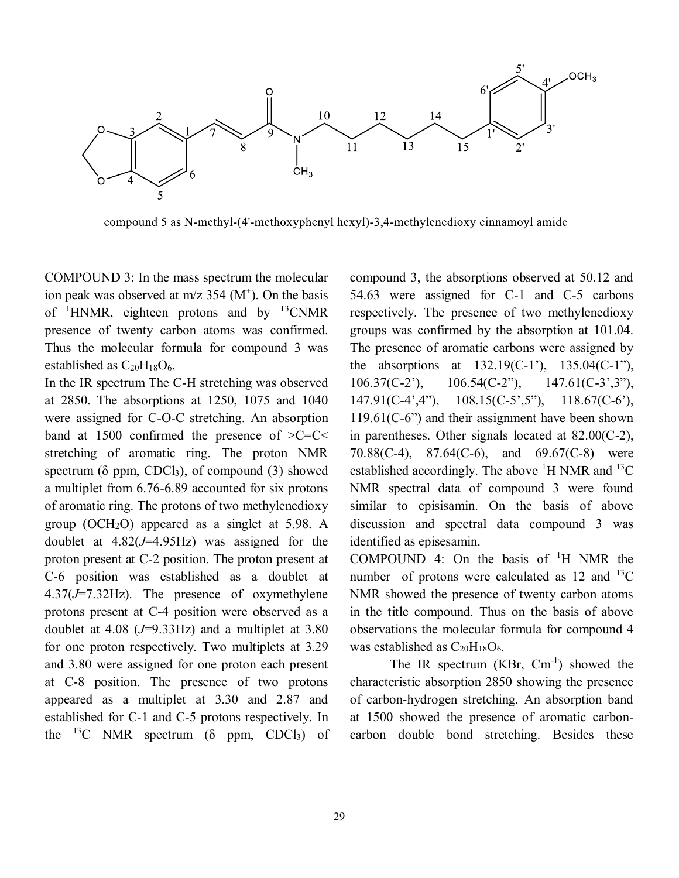

compound 5 as N-methyl-(4'-methoxyphenyl hexyl)-3,4-methylenedioxy cinnamoyl amide

COMPOUND 3: In the mass spectrum the molecular ion peak was observed at  $m/z$  354 ( $M^+$ ). On the basis of  ${}^{1}$ HNMR, eighteen protons and by  ${}^{13}$ CNMR presence of twenty carbon atoms was confirmed. Thus the molecular formula for compound 3 was established as  $C_{20}H_{18}O_6$ .

In the IR spectrum The C-H stretching was observed at 2850. The absorptions at 1250, 1075 and 1040 were assigned for C-O-C stretching. An absorption band at 1500 confirmed the presence of  $\geq C=C \leq C$ stretching of aromatic ring. The proton NMR spectrum ( $\delta$  ppm, CDCl<sub>3</sub>), of compound (3) showed a multiplet from 6.76-6.89 accounted for six protons of aromatic ring. The protons of two methylenedioxy group (OCH<sub>2</sub>O) appeared as a singlet at  $5.98$ . A doublet at 4.82(*J*=4.95Hz) was assigned for the proton present at C-2 position. The proton present at C-6 position was established as a doublet at 4.37(*J*=7.32Hz). The presence of oxymethylene protons present at C-4 position were observed as a doublet at 4.08 (*J*=9.33Hz) and a multiplet at 3.80 for one proton respectively. Two multiplets at 3.29 and 3.80 were assigned for one proton each present at C-8 position. The presence of two protons appeared as a multiplet at 3.30 and 2.87 and established for C-1 and C-5 protons respectively. In the  $^{13}C$  NMR spectrum ( $\delta$  ppm, CDCl<sub>3</sub>) of compound 3, the absorptions observed at 50.12 and 54.63 were assigned for C-1 and C-5 carbons respectively. The presence of two methylenedioxy groups was confirmed by the absorption at 101.04. The presence of aromatic carbons were assigned by the absorptions at  $132.19(C-1)$ ,  $135.04(C-1)$ , 106.37(C-2'), 106.54(C-2"), 147.61(C-3',3"), 147.91(C-4',4"), 108.15(C-5',5"), 118.67(C-6'), 119.61(C-6") and their assignment have been shown in parentheses. Other signals located at 82.00(C-2), 70.88(C-4), 87.64(C-6), and 69.67(C-8) were established accordingly. The above  ${}^{1}$ H NMR and  ${}^{13}$ C NMR spectral data of compound 3 were found similar to episisamin. On the basis of above discussion and spectral data compound 3 was identified as episesamin.

COMPOUND 4: On the basis of  $H$  NMR the number of protons were calculated as  $12$  and  $^{13}$ C NMR showed the presence of twenty carbon atoms in the title compound. Thus on the basis of above observations the molecular formula for compound 4 was established as  $C_{20}H_{18}O_6$ .

The IR spectrum  $(KBr, \text{ Cm}^{-1})$  showed the characteristic absorption 2850 showing the presence of carbon-hydrogen stretching. An absorption band at 1500 showed the presence of aromatic carboncarbon double bond stretching. Besides these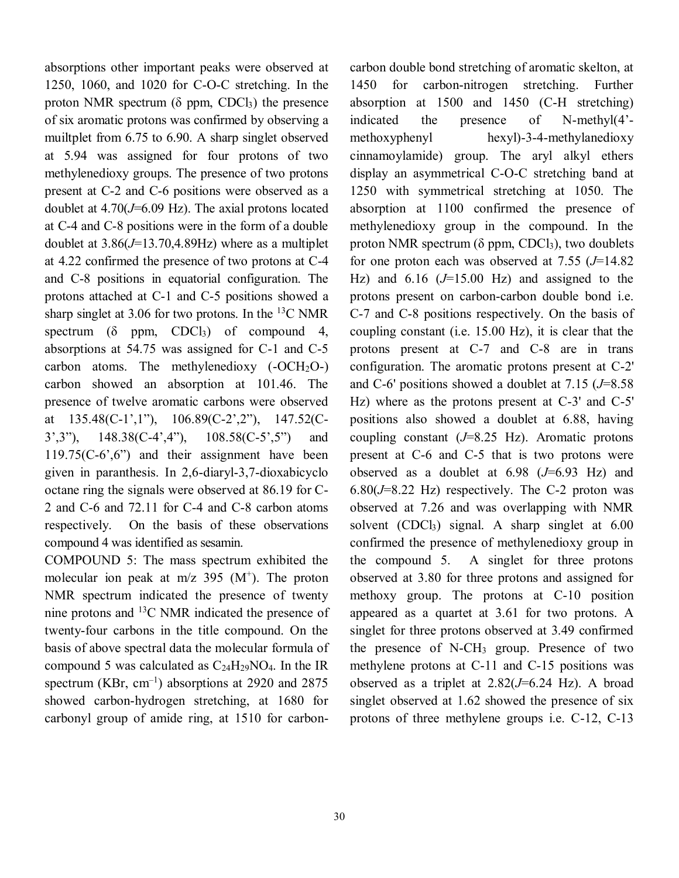absorptions other important peaks were observed at 1250, 1060, and 1020 for C-O-C stretching. In the proton NMR spectrum ( $\delta$  ppm, CDCl<sub>3</sub>) the presence of six aromatic protons was confirmed by observing a muiltplet from 6.75 to 6.90. A sharp singlet observed at 5.94 was assigned for four protons of two methylenedioxy groups. The presence of two protons present at C-2 and C-6 positions were observed as a doublet at 4.70(*J*=6.09 Hz). The axial protons located at C-4 and C-8 positions were in the form of a double doublet at 3.86(*J*=13.70,4.89Hz) where as a multiplet at 4.22 confirmed the presence of two protons at C-4 and C-8 positions in equatorial configuration. The protons attached at C-1 and C-5 positions showed a sharp singlet at 3.06 for two protons. In the  $^{13}$ C NMR spectrum ( $\delta$  ppm, CDCl<sub>3</sub>) of compound 4, absorptions at 54.75 was assigned for C-1 and C-5 carbon atoms. The methylenedioxy  $(-OCH<sub>2</sub>O<sub>-</sub>)$ carbon showed an absorption at 101.46. The presence of twelve aromatic carbons were observed at 135.48(C-1',1"), 106.89(C-2',2"), 147.52(C-3',3"), 148.38(C-4',4"), 108.58(C-5',5") and 119.75(C-6',6") and their assignment have been given in paranthesis. In 2,6-diaryl-3,7-dioxabicyclo octane ring the signals were observed at 86.19 for C-2 and C-6 and 72.11 for C-4 and C-8 carbon atoms respectively. On the basis of these observations compound 4 was identified as sesamin.

COMPOUND 5: The mass spectrum exhibited the molecular ion peak at  $m/z$  395 ( $M^+$ ). The proton NMR spectrum indicated the presence of twenty nine protons and  $^{13}$ C NMR indicated the presence of twenty-four carbons in the title compound. On the basis of above spectral data the molecular formula of compound 5 was calculated as  $C_{24}H_{29}NO_4$ . In the IR spectrum (KBr,  $cm^{-1}$ ) absorptions at 2920 and 2875 showed carbon-hydrogen stretching, at 1680 for carbonyl group of amide ring, at 1510 for carbon-

carbon double bond stretching of aromatic skelton, at 1450 for carbon-nitrogen stretching. Further absorption at 1500 and 1450 (C-H stretching) indicated the presence of N-methyl(4' methoxyphenyl hexyl)-3-4-methylanedioxy cinnamoylamide) group. The aryl alkyl ethers display an asymmetrical C-O-C stretching band at 1250 with symmetrical stretching at 1050. The absorption at 1100 confirmed the presence of methylenedioxy group in the compound. In the proton NMR spectrum ( $\delta$  ppm, CDCl<sub>3</sub>), two doublets for one proton each was observed at 7.55 (*J*=14.82 Hz) and 6.16 (*J*=15.00 Hz) and assigned to the protons present on carbon-carbon double bond i.e. C-7 and C-8 positions respectively. On the basis of coupling constant (i.e. 15.00 Hz), it is clear that the protons present at C-7 and C-8 are in trans configuration. The aromatic protons present at C-2' and C-6' positions showed a doublet at 7.15 (*J*=8.58 Hz) where as the protons present at C-3' and C-5' positions also showed a doublet at 6.88, having coupling constant (*J*=8.25 Hz). Aromatic protons present at C-6 and C-5 that is two protons were observed as a doublet at 6.98 (*J*=6.93 Hz) and 6.80(*J*=8.22 Hz) respectively. The C-2 proton was observed at 7.26 and was overlapping with NMR solvent  $(CDCl<sub>3</sub>)$  signal. A sharp singlet at  $6.00$ confirmed the presence of methylenedioxy group in the compound 5. A singlet for three protons observed at 3.80 for three protons and assigned for methoxy group. The protons at C-10 position appeared as a quartet at 3.61 for two protons. A singlet for three protons observed at 3.49 confirmed the presence of N-CH<sup>3</sup> group. Presence of two methylene protons at C-11 and C-15 positions was observed as a triplet at 2.82(*J*=6.24 Hz). A broad singlet observed at 1.62 showed the presence of six protons of three methylene groups i.e. C-12, C-13